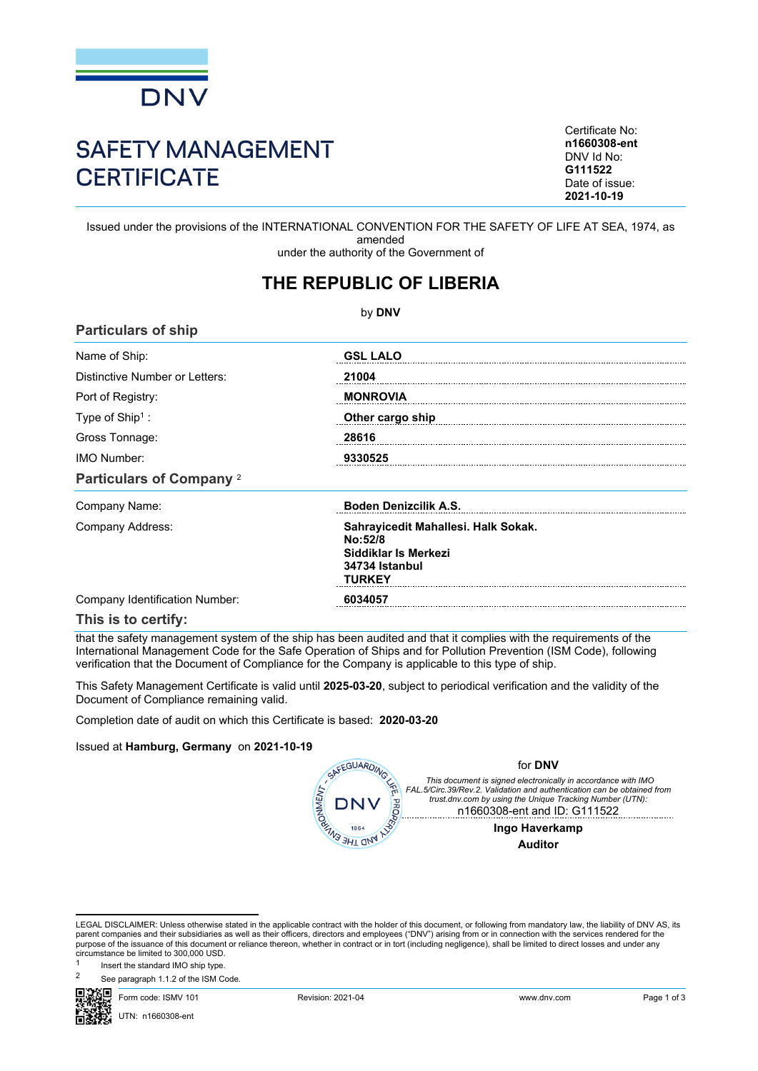

# SAFETY MANAGEMENT **CERTIFICATE**

Certificate No: **n1660308-ent** DNV Id No: **G111522** Date of issue: **2021-10-19**

Issued under the provisions of the INTERNATIONAL CONVENTION FOR THE SAFETY OF LIFE AT SEA, 1974, as amended under the authority of the Government of

## **THE REPUBLIC OF LIBERIA**

by **DNV Particulars of ship** Name of Ship: **GSL LALO** Distinctive Number or Letters: **21004** Port of Registry: **MONROVIA** : **Other cargo ship**  Type of Ship<sup>1</sup>: Gross Tonnage: **28616** IMO Number: **9330525 Particulars of Company** <sup>2</sup> Company Name: **Boden Denizcilik A.S.** Company Address: **Sahrayicedit Mahallesi. Halk Sokak. No:52/8 Siddiklar Is Merkezi 34734 Istanbul TURKEY** Company Identification Number: **6034057** 

#### **This is to certify:**

that the safety management system of the ship has been audited and that it complies with the requirements of the International Management Code for the Safe Operation of Ships and for Pollution Prevention (ISM Code), following verification that the Document of Compliance for the Company is applicable to this type of ship.

This Safety Management Certificate is valid until **2025-03-20**, subject to periodical verification and the validity of the Document of Compliance remaining valid.

Completion date of audit on which this Certificate is based: **2020-03-20**

#### Issued at **Hamburg, Germany** on **2021-10-19**

| SAFEGUARDING                     | for <b>DNV</b>                                                                                                                                                                                                                       |
|----------------------------------|--------------------------------------------------------------------------------------------------------------------------------------------------------------------------------------------------------------------------------------|
| 系<br><b>HATALANA</b><br>DNV<br>귕 | This document is signed electronically in accordance with IMO<br>FAL.5/Circ.39/Rev.2. Validation and authentication can be obtained from<br>trust.dnv.com by using the Unique Tracking Number (UTN):<br>n1660308-ent and ID: G111522 |
| 1864                             | Ingo Haverkamp                                                                                                                                                                                                                       |
|                                  |                                                                                                                                                                                                                                      |

LEGAL DISCLAIMER: Unless otherwise stated in the applicable contract with the holder of this document, or following from mandatory law, the liability of DNV AS, its parent companies and their subsidiaries as well as their officers, directors and employees ("DNV") arising from or in connection with the services rendered for the purpose of the issuance of this document or reliance thereon, whether in contract or in tort (including negligence), shall be limited to direct losses and under any circumstance be limited to 300,000 USD.

Insert the standard IMO ship type.

See paragraph 1.1.2 of the ISM Code.



1

Form code: ISMV 101 Revision: 2021-04 www.dnv.com Page 1 of 3

UTN: n1660308-ent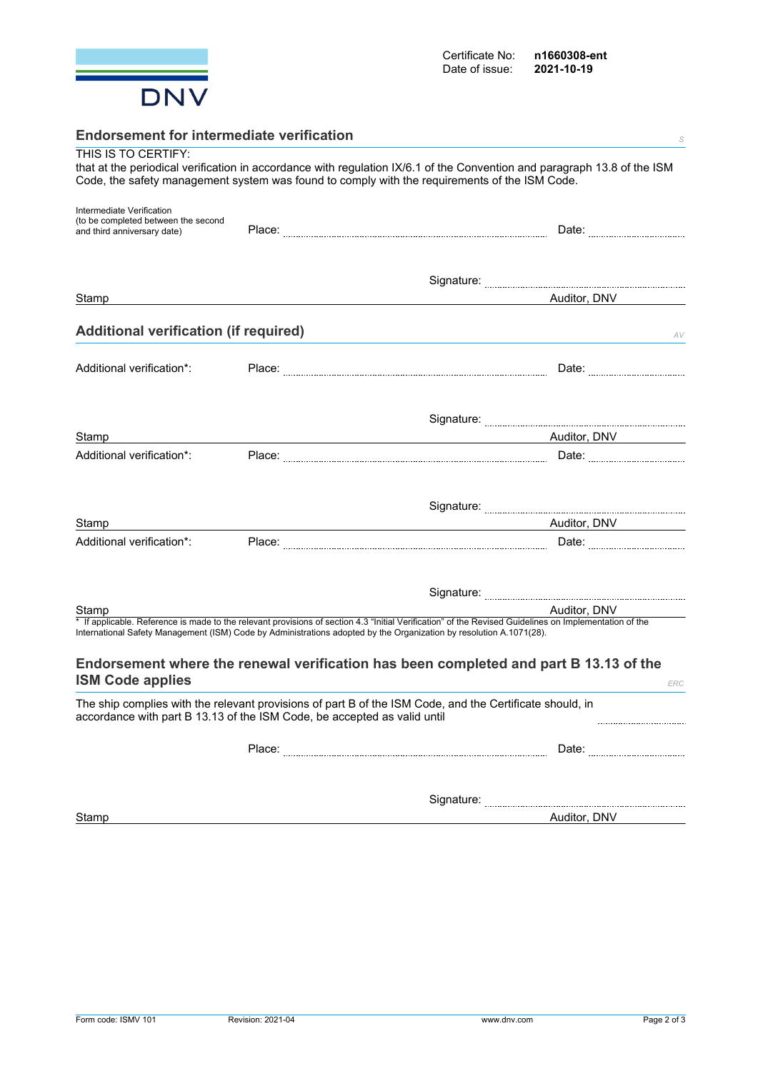

| <b>Endorsement for intermediate verification</b>                         | S                                                                                                                                                                                                                                                                             |
|--------------------------------------------------------------------------|-------------------------------------------------------------------------------------------------------------------------------------------------------------------------------------------------------------------------------------------------------------------------------|
| THIS IS TO CERTIFY:                                                      |                                                                                                                                                                                                                                                                               |
|                                                                          | that at the periodical verification in accordance with regulation IX/6.1 of the Convention and paragraph 13.8 of the ISM                                                                                                                                                      |
|                                                                          | Code, the safety management system was found to comply with the requirements of the ISM Code.                                                                                                                                                                                 |
| Intermediate Verification                                                |                                                                                                                                                                                                                                                                               |
| (to be completed between the second                                      |                                                                                                                                                                                                                                                                               |
| and third anniversary date)                                              |                                                                                                                                                                                                                                                                               |
|                                                                          |                                                                                                                                                                                                                                                                               |
|                                                                          |                                                                                                                                                                                                                                                                               |
| Stamp                                                                    | Auditor, DNV                                                                                                                                                                                                                                                                  |
|                                                                          |                                                                                                                                                                                                                                                                               |
| <b>Additional verification (if required)</b>                             | AV                                                                                                                                                                                                                                                                            |
|                                                                          |                                                                                                                                                                                                                                                                               |
| Additional verification*:                                                |                                                                                                                                                                                                                                                                               |
|                                                                          |                                                                                                                                                                                                                                                                               |
|                                                                          |                                                                                                                                                                                                                                                                               |
| Stamp                                                                    | Auditor, DNV                                                                                                                                                                                                                                                                  |
| Additional verification*:                                                |                                                                                                                                                                                                                                                                               |
|                                                                          |                                                                                                                                                                                                                                                                               |
|                                                                          |                                                                                                                                                                                                                                                                               |
| Stamp                                                                    | Auditor, DNV                                                                                                                                                                                                                                                                  |
| Additional verification*:                                                |                                                                                                                                                                                                                                                                               |
|                                                                          |                                                                                                                                                                                                                                                                               |
|                                                                          |                                                                                                                                                                                                                                                                               |
| Stamp                                                                    | Auditor, DNV                                                                                                                                                                                                                                                                  |
|                                                                          | * If applicable. Reference is made to the relevant provisions of section 4.3 "Initial Verification" of the Revised Guidelines on Implementation of the<br>International Safety Management (ISM) Code by Administrations adopted by the Organization by resolution A.1071(28). |
|                                                                          | Endorsement where the renewal verification has been completed and part B 13.13 of the                                                                                                                                                                                         |
| <b>ISM Code applies</b>                                                  | ERC                                                                                                                                                                                                                                                                           |
| accordance with part B 13.13 of the ISM Code, be accepted as valid until | The ship complies with the relevant provisions of part B of the ISM Code, and the Certificate should, in<br>                                                                                                                                                                  |
|                                                                          |                                                                                                                                                                                                                                                                               |
|                                                                          |                                                                                                                                                                                                                                                                               |
|                                                                          |                                                                                                                                                                                                                                                                               |

Stamp **Auditor, DNV**